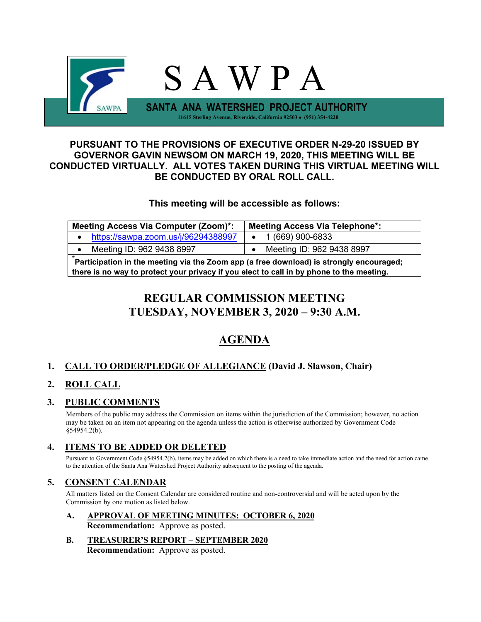

## **PURSUANT TO THE PROVISIONS OF EXECUTIVE ORDER N-29-20 ISSUED BY GOVERNOR GAVIN NEWSOM ON MARCH 19, 2020, THIS MEETING WILL BE CONDUCTED VIRTUALLY. ALL VOTES TAKEN DURING THIS VIRTUAL MEETING WILL BE CONDUCTED BY ORAL ROLL CALL.**

## **This meeting will be accessible as follows:**

| <b>Meeting Access Via Computer (Zoom)*:</b>                                             | <b>Meeting Access Via Telephone*:</b> |  |  |  |
|-----------------------------------------------------------------------------------------|---------------------------------------|--|--|--|
| https://sawpa.zoom.us/j/96294388997                                                     | $\bullet$ 1 (669) 900-6833            |  |  |  |
| Meeting ID: 962 9438 8997                                                               | Meeting ID: 962 9438 8997             |  |  |  |
| Participation in the meeting via the Zoom app (a free download) is strongly encouraged; |                                       |  |  |  |

**there is no way to protect your privacy if you elect to call in by phone to the meeting.**

# **REGULAR COMMISSION MEETING TUESDAY, NOVEMBER 3, 2020 – 9:30 A.M.**

# **AGENDA**

## **1. CALL TO ORDER/PLEDGE OF ALLEGIANCE (David J. Slawson, Chair)**

## **2. ROLL CALL**

### **3. PUBLIC COMMENTS**

Members of the public may address the Commission on items within the jurisdiction of the Commission; however, no action may be taken on an item not appearing on the agenda unless the action is otherwise authorized by Government Code §54954.2(b).

## **4. ITEMS TO BE ADDED OR DELETED**

Pursuant to Government Code §54954.2(b), items may be added on which there is a need to take immediate action and the need for action came to the attention of the Santa Ana Watershed Project Authority subsequent to the posting of the agenda.

### **5. CONSENT CALENDAR**

All matters listed on the Consent Calendar are considered routine and non-controversial and will be acted upon by the Commission by one motion as listed below.

### **A. APPROVAL OF MEETING MINUTES: OCTOBER 6, 2020**

**Recommendation:** Approve as posted.

**B. TREASURER'S REPORT – SEPTEMBER 2020 Recommendation:** Approve as posted.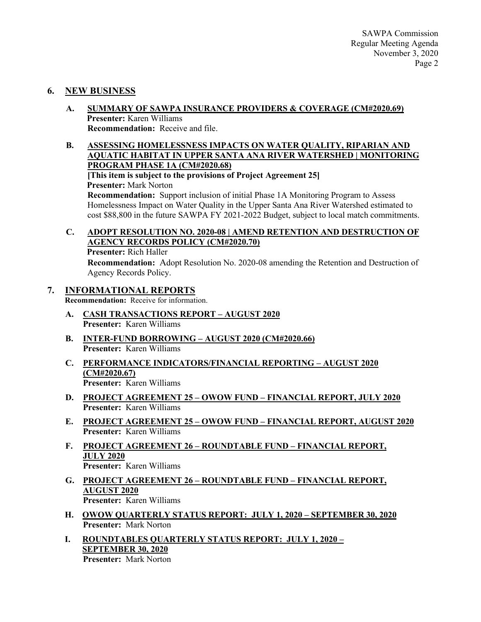#### **6. NEW BUSINESS**

- **A. SUMMARY OF SAWPA INSURANCE PROVIDERS & COVERAGE (CM#2020.69) Presenter:** Karen Williams **Recommendation:** Receive and file.
- **B. ASSESSING HOMELESSNESS IMPACTS ON WATER QUALITY, RIPARIAN AND AQUATIC HABITAT IN UPPER SANTA ANA RIVER WATERSHED | MONITORING PROGRAM PHASE 1A (CM#2020.68) [This item is subject to the provisions of Project Agreement 25] Presenter:** Mark Norton **Recommendation:** Support inclusion of initial Phase 1A Monitoring Program to Assess Homelessness Impact on Water Quality in the Upper Santa Ana River Watershed estimated to cost \$88,800 in the future SAWPA FY 2021-2022 Budget, subject to local match commitments.
- **C. ADOPT RESOLUTION NO. 2020-08 | AMEND RETENTION AND DESTRUCTION OF AGENCY RECORDS POLICY (CM#2020.70) Presenter:** Rich Haller

**Recommendation:** Adopt Resolution No. 2020-08 amending the Retention and Destruction of Agency Records Policy.

- **7. INFORMATIONAL REPORTS Recommendation:** Receive for information.
	- **A. CASH TRANSACTIONS REPORT – AUGUST 2020 Presenter:** Karen Williams
	- **B. INTER-FUND BORROWING – AUGUST 2020 (CM#2020.66) Presenter:** Karen Williams
	- **C. PERFORMANCE INDICATORS/FINANCIAL REPORTING – AUGUST 2020 (CM#2020.67) Presenter:** Karen Williams
	- **D. PROJECT AGREEMENT 25 – OWOW FUND – FINANCIAL REPORT, JULY 2020 Presenter:** Karen Williams
	- **E. PROJECT AGREEMENT 25 – OWOW FUND – FINANCIAL REPORT, AUGUST 2020 Presenter:** Karen Williams
	- **F. PROJECT AGREEMENT 26 – ROUNDTABLE FUND – FINANCIAL REPORT, JULY 2020 Presenter:** Karen Williams
	- **G. PROJECT AGREEMENT 26 – ROUNDTABLE FUND – FINANCIAL REPORT, AUGUST 2020 Presenter:** Karen Williams
	- **H. OWOW QUARTERLY STATUS REPORT: JULY 1, 2020 – SEPTEMBER 30, 2020 Presenter:** Mark Norton
	- **I. ROUNDTABLES QUARTERLY STATUS REPORT: JULY 1, 2020 – SEPTEMBER 30, 2020 Presenter:** Mark Norton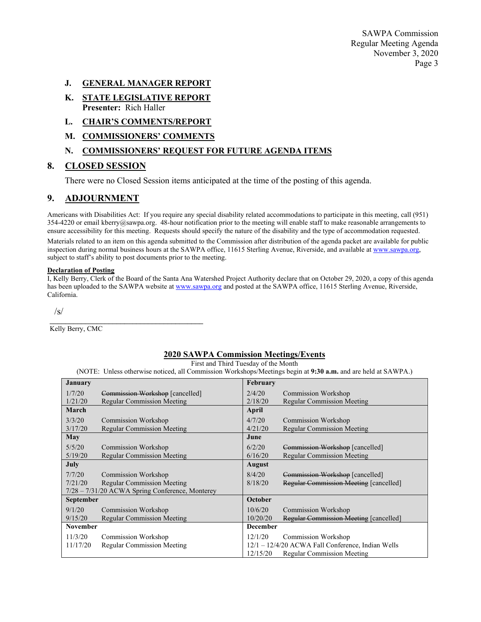SAWPA Commission Regular Meeting Agenda November 3, 2020 Page 3

#### **J. GENERAL MANAGER REPORT**

- **K. STATE LEGISLATIVE REPORT Presenter:** Rich Haller
- **L. CHAIR'S COMMENTS/REPORT**
- **M. COMMISSIONERS' COMMENTS**

#### **N. COMMISSIONERS' REQUEST FOR FUTURE AGENDA ITEMS**

#### **8. CLOSED SESSION**

There were no Closed Session items anticipated at the time of the posting of this agenda.

#### **9. ADJOURNMENT**

Americans with Disabilities Act: If you require any special disability related accommodations to participate in this meeting, call (951) 354-4220 or email kberry@sawpa.org. 48-hour notification prior to the meeting will enable staff to make reasonable arrangements to ensure accessibility for this meeting. Requests should specify the nature of the disability and the type of accommodation requested.

Materials related to an item on this agenda submitted to the Commission after distribution of the agenda packet are available for public inspection during normal business hours at the SAWPA office, 11615 Sterling Avenue, Riverside, and available at www.sawpa.org, subject to staff's ability to post documents prior to the meeting.

#### **Declaration of Posting**

I, Kelly Berry, Clerk of the Board of the Santa Ana Watershed Project Authority declare that on October 29, 2020, a copy of this agenda has been uploaded to the SAWPA website at [www.sawpa.org](http://www.sawpa.org/) and posted at the SAWPA office, 11615 Sterling Avenue, Riverside, California.

/s/

\_\_\_\_\_\_\_\_\_\_\_\_\_\_\_\_\_\_\_\_\_\_\_\_\_\_\_\_\_\_\_\_\_\_\_\_\_\_\_ Kelly Berry, CMC

#### **2020 SAWPA Commission Meetings/Events**

First and Third Tuesday of the Month

(NOTE: Unless otherwise noticed, all Commission Workshops/Meetings begin at **9:30 a.m.** and are held at SAWPA.)

| <b>January</b>                                    |                                   | February        |                                                   |
|---------------------------------------------------|-----------------------------------|-----------------|---------------------------------------------------|
| 1/7/20                                            | Commission Workshop [cancelled]   | 2/4/20          | <b>Commission Workshop</b>                        |
| 1/21/20                                           | <b>Regular Commission Meeting</b> | 2/18/20         | <b>Regular Commission Meeting</b>                 |
| March                                             |                                   | April           |                                                   |
| 3/3/20                                            | <b>Commission Workshop</b>        | 4/7/20          | <b>Commission Workshop</b>                        |
| 3/17/20                                           | <b>Regular Commission Meeting</b> | 4/21/20         | <b>Regular Commission Meeting</b>                 |
| May                                               |                                   | June            |                                                   |
| 5/5/20                                            | <b>Commission Workshop</b>        | 6/2/20          | Commission Workshop [cancelled]                   |
| 5/19/20                                           | <b>Regular Commission Meeting</b> | 6/16/20         | <b>Regular Commission Meeting</b>                 |
| July                                              |                                   | August          |                                                   |
| 7/7/20                                            | <b>Commission Workshop</b>        | 8/4/20          | Commission Workshop [cancelled]                   |
| 7/21/20                                           | <b>Regular Commission Meeting</b> | 8/18/20         | Regular Commission Meeting [cancelled]            |
| $7/28 - 7/31/20$ ACWA Spring Conference, Monterey |                                   |                 |                                                   |
| September                                         |                                   | October         |                                                   |
| 9/1/20                                            | <b>Commission Workshop</b>        | 10/6/20         | <b>Commission Workshop</b>                        |
| 9/15/20                                           | <b>Regular Commission Meeting</b> | 10/20/20        | Regular Commission Meeting [cancelled]            |
| <b>November</b>                                   |                                   | <b>December</b> |                                                   |
| 11/3/20                                           | Commission Workshop               | 12/1/20         | Commission Workshop                               |
| 11/17/20                                          | <b>Regular Commission Meeting</b> |                 | 12/1 - 12/4/20 ACWA Fall Conference, Indian Wells |
|                                                   |                                   | 12/15/20        | <b>Regular Commission Meeting</b>                 |